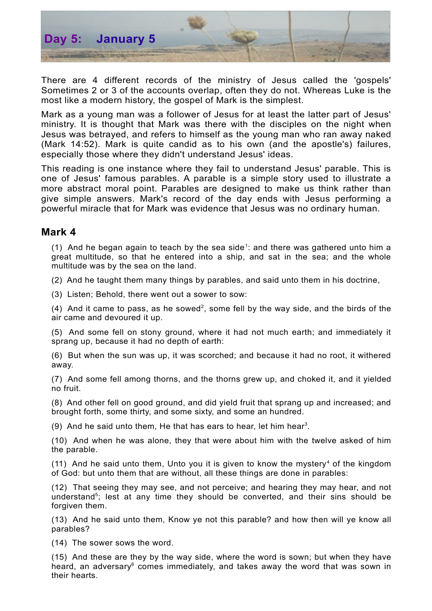

There are 4 different records of the ministry of Jesus called the 'gospels' Sometimes 2 or 3 of the accounts overlap, often they do not. Whereas Luke is the most like a modern history, the gospel of Mark is the simplest.

Mark as a young man was a follower of Jesus for at least the latter part of Jesus' ministry. It is thought that Mark was there with the disciples on the night when Jesus was betrayed, and refers to himself as the young man who ran away naked (Mark 14:52). Mark is quite candid as to his own (and the apostle's) failures, especially those where they didn't understand Jesus' ideas.

This reading is one instance where they fail to understand Jesus' parable. This is one of Jesus' famous parables. A parable is a simple story used to illustrate a more abstract moral point. Parables are designed to make us think rather than give simple answers. Mark's record of the day ends with Jesus performing a powerful miracle that for Mark was evidence that Jesus was no ordinary human.

## **Mark 4**

([1](#page-2-0)) And he began again to teach by the sea side<sup>1</sup>: and there was gathered unto him a great multitude, so that he entered into a ship, and sat in the sea; and the whole multitude was by the sea on the land.

(2) And he taught them many things by parables, and said unto them in his doctrine,

(3) Listen; Behold, there went out a sower to sow:

(4) And it came to pass, as he sowed<sup>[2](#page-2-1)</sup>, some fell by the way side, and the birds of the air came and devoured it up.

(5) And some fell on stony ground, where it had not much earth; and immediately it sprang up, because it had no depth of earth:

(6) But when the sun was up, it was scorched; and because it had no root, it withered away.

(7) And some fell among thorns, and the thorns grew up, and choked it, and it yielded no fruit.

(8) And other fell on good ground, and did yield fruit that sprang up and increased; and brought forth, some thirty, and some sixty, and some an hundred.

(9) And he said unto them, He that has ears to hear, let him hear<sup>[3](#page-2-2)</sup>.

(10) And when he was alone, they that were about him with the twelve asked of him the parable.

 $(11)$  And he said unto them, Unto you it is given to know the mystery<sup>[4](#page-2-3)</sup> of the kingdom of God: but unto them that are without, all these things are done in parables:

(12) That seeing they may see, and not perceive; and hearing they may hear, and not understand<sup>[5](#page-2-4)</sup>; lest at any time they should be converted, and their sins should be forgiven them.

(13) And he said unto them, Know ye not this parable? and how then will ye know all parables?

(14) The sower sows the word.

(15) And these are they by the way side, where the word is sown; but when they have heard, an adversary<sup>[6](#page-2-5)</sup> comes immediately, and takes away the word that was sown in their hearts.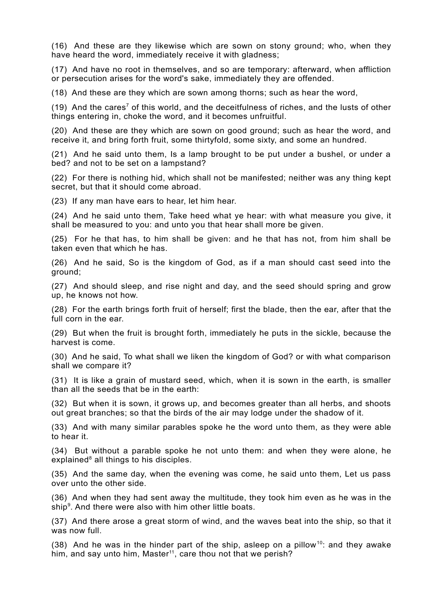(16) And these are they likewise which are sown on stony ground; who, when they have heard the word, immediately receive it with gladness;

(17) And have no root in themselves, and so are temporary: afterward, when affliction or persecution arises for the word's sake, immediately they are offended.

(18) And these are they which are sown among thorns; such as hear the word,

(19) And the cares<sup>[7](#page-2-6)</sup> of this world, and the deceitfulness of riches, and the lusts of other things entering in, choke the word, and it becomes unfruitful.

(20) And these are they which are sown on good ground; such as hear the word, and receive it, and bring forth fruit, some thirtyfold, some sixty, and some an hundred.

(21) And he said unto them, Is a lamp brought to be put under a bushel, or under a bed? and not to be set on a lampstand?

(22) For there is nothing hid, which shall not be manifested; neither was any thing kept secret, but that it should come abroad.

(23) If any man have ears to hear, let him hear.

(24) And he said unto them, Take heed what ye hear: with what measure you give, it shall be measured to you: and unto you that hear shall more be given.

(25) For he that has, to him shall be given: and he that has not, from him shall be taken even that which he has.

(26) And he said, So is the kingdom of God, as if a man should cast seed into the ground;

(27) And should sleep, and rise night and day, and the seed should spring and grow up, he knows not how.

(28) For the earth brings forth fruit of herself; first the blade, then the ear, after that the full corn in the ear.

(29) But when the fruit is brought forth, immediately he puts in the sickle, because the harvest is come.

(30) And he said, To what shall we liken the kingdom of God? or with what comparison shall we compare it?

(31) It is like a grain of mustard seed, which, when it is sown in the earth, is smaller than all the seeds that be in the earth:

(32) But when it is sown, it grows up, and becomes greater than all herbs, and shoots out great branches; so that the birds of the air may lodge under the shadow of it.

(33) And with many similar parables spoke he the word unto them, as they were able to hear it.

(34) But without a parable spoke he not unto them: and when they were alone, he explained<sup>[8](#page-2-7)</sup> all things to his disciples.

(35) And the same day, when the evening was come, he said unto them, Let us pass over unto the other side.

(36) And when they had sent away the multitude, they took him even as he was in the ship<sup>[9](#page-2-8)</sup>. And there were also with him other little boats.

(37) And there arose a great storm of wind, and the waves beat into the ship, so that it was now full.

(38) And he was in the hinder part of the ship, asleep on a pillow<sup>[10](#page-2-9)</sup>: and they awake him, and say unto him, Master<sup>[11](#page-2-10)</sup>, care thou not that we perish?